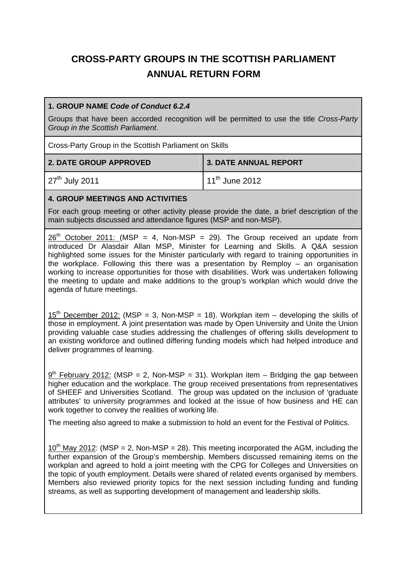# **CROSS-PARTY GROUPS IN THE SCOTTISH PARLIAMENT ANNUAL RETURN FORM**

# **1. GROUP NAME** *Code of Conduct 6.2.4*

Groups that have been accorded recognition will be permitted to use the title *Cross-Party Group in the Scottish Parliament*.

Cross-Party Group in the Scottish Parliament on Skills

| <b>2. DATE GROUP APPROVED</b> | <b>3. DATE ANNUAL REPORT</b>       |
|-------------------------------|------------------------------------|
| $27th$ July 2011              | $\vert$ 11 <sup>th</sup> June 2012 |

## **4. GROUP MEETINGS AND ACTIVITIES**

For each group meeting or other activity please provide the date, a brief description of the main subjects discussed and attendance figures (MSP and non-MSP).

 $26<sup>th</sup>$  October 2011: (MSP = 4, Non-MSP = 29). The Group received an update from introduced Dr Alasdair Allan MSP, Minister for Learning and Skills. A Q&A session highlighted some issues for the Minister particularly with regard to training opportunities in the workplace. Following this there was a presentation by Remploy – an organisation working to increase opportunities for those with disabilities. Work was undertaken following the meeting to update and make additions to the group's workplan which would drive the agenda of future meetings.

15<sup>th</sup> December 2012: (MSP = 3, Non-MSP = 18). Workplan item – developing the skills of those in employment. A joint presentation was made by Open University and Unite the Union providing valuable case studies addressing the challenges of offering skills development to an existing workforce and outlined differing funding models which had helped introduce and deliver programmes of learning.

 $9<sup>th</sup>$  February 2012: (MSP = 2, Non-MSP = 31). Workplan item – Bridging the gap between higher education and the workplace. The group received presentations from representatives of SHEEF and Universities Scotland. The group was updated on the inclusion of 'graduate attributes' to university programmes and looked at the issue of how business and HE can work together to convey the realities of working life.

The meeting also agreed to make a submission to hold an event for the Festival of Politics.

 $10^{th}$  May 2012: (MSP = 2, Non-MSP = 28). This meeting incorporated the AGM, including the further expansion of the Group's membership. Members discussed remaining items on the workplan and agreed to hold a joint meeting with the CPG for Colleges and Universities on the topic of youth employment. Details were shared of related events organised by members. Members also reviewed priority topics for the next session including funding and funding streams, as well as supporting development of management and leadership skills.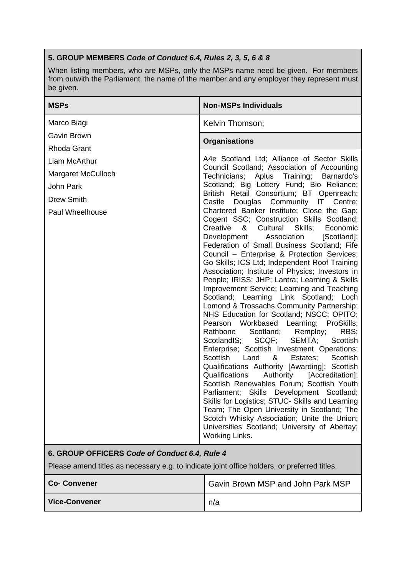# **5. GROUP MEMBERS** *Code of Conduct 6.4, Rules 2, 3, 5, 6 & 8*

When listing members, who are MSPs, only the MSPs name need be given. For members from outwith the Parliament, the name of the member and any employer they represent must be given.

| <b>MSPs</b>                                                                                                                                   | <b>Non-MSPs Individuals</b>                                                                                                                                                                                                                                                                                                                                                                                                                                                                                                                                                                                                                                                                                                                                                                                                                                                                                                                                                                                                                                                                                                                                                                                                                                                                                                                                                                                                                                                                                                                                |
|-----------------------------------------------------------------------------------------------------------------------------------------------|------------------------------------------------------------------------------------------------------------------------------------------------------------------------------------------------------------------------------------------------------------------------------------------------------------------------------------------------------------------------------------------------------------------------------------------------------------------------------------------------------------------------------------------------------------------------------------------------------------------------------------------------------------------------------------------------------------------------------------------------------------------------------------------------------------------------------------------------------------------------------------------------------------------------------------------------------------------------------------------------------------------------------------------------------------------------------------------------------------------------------------------------------------------------------------------------------------------------------------------------------------------------------------------------------------------------------------------------------------------------------------------------------------------------------------------------------------------------------------------------------------------------------------------------------------|
| Marco Biagi<br>Gavin Brown<br>Rhoda Grant                                                                                                     | Kelvin Thomson;                                                                                                                                                                                                                                                                                                                                                                                                                                                                                                                                                                                                                                                                                                                                                                                                                                                                                                                                                                                                                                                                                                                                                                                                                                                                                                                                                                                                                                                                                                                                            |
|                                                                                                                                               | <b>Organisations</b>                                                                                                                                                                                                                                                                                                                                                                                                                                                                                                                                                                                                                                                                                                                                                                                                                                                                                                                                                                                                                                                                                                                                                                                                                                                                                                                                                                                                                                                                                                                                       |
| Liam McArthur<br>Margaret McCulloch<br><b>John Park</b><br><b>Drew Smith</b><br>Paul Wheelhouse                                               | A4e Scotland Ltd; Alliance of Sector Skills<br>Council Scotland; Association of Accounting<br>Technicians; Aplus Training; Barnardo's<br>Scotland; Big Lottery Fund; Bio Reliance;<br>British Retail Consortium; BT Openreach;<br>Douglas Community IT Centre;<br>Castle<br>Chartered Banker Institute; Close the Gap;<br>Cogent SSC; Construction Skills Scotland;<br>Creative<br>Cultural<br>Skills;<br>&<br>Economic<br>Development<br>Association<br>[Scotland];<br>Federation of Small Business Scotland; Fife<br>Council - Enterprise & Protection Services;<br>Go Skills; ICS Ltd; Independent Roof Training<br>Association; Institute of Physics; Investors in<br>People; IRISS; JHP; Lantra; Learning & Skills<br>Improvement Service; Learning and Teaching<br>Scotland; Learning Link Scotland; Loch<br>Lomond & Trossachs Community Partnership;<br>NHS Education for Scotland; NSCC; OPITO;<br>Pearson Workbased Learning; ProSkills;<br>Rathbone<br>Scotland;<br>Remploy;<br>RBS;<br>ScotlandIS; SCQF;<br>SEMTA;<br>Scottish<br>Enterprise; Scottish Investment Operations;<br>&<br>Scottish<br>Land<br>Estates;<br>Scottish<br>Qualifications Authority [Awarding]; Scottish<br>Qualifications<br>Authority<br>[Accreditation];<br>Scottish Renewables Forum; Scottish Youth<br>Parliament; Skills Development Scotland;<br>Skills for Logistics; STUC- Skills and Learning<br>Team; The Open University in Scotland; The<br>Scotch Whisky Association; Unite the Union;<br>Universities Scotland; University of Abertay;<br>Working Links. |
| 6. GROUP OFFICERS Code of Conduct 6.4, Rule 4<br>Please amend titles as necessary e.g. to indicate joint office holders, or preferred titles. |                                                                                                                                                                                                                                                                                                                                                                                                                                                                                                                                                                                                                                                                                                                                                                                                                                                                                                                                                                                                                                                                                                                                                                                                                                                                                                                                                                                                                                                                                                                                                            |
| <b>Co- Convener</b>                                                                                                                           | Gavin Brown MSP and John Park MSP                                                                                                                                                                                                                                                                                                                                                                                                                                                                                                                                                                                                                                                                                                                                                                                                                                                                                                                                                                                                                                                                                                                                                                                                                                                                                                                                                                                                                                                                                                                          |
| <b>Vice-Convener</b>                                                                                                                          | n/a                                                                                                                                                                                                                                                                                                                                                                                                                                                                                                                                                                                                                                                                                                                                                                                                                                                                                                                                                                                                                                                                                                                                                                                                                                                                                                                                                                                                                                                                                                                                                        |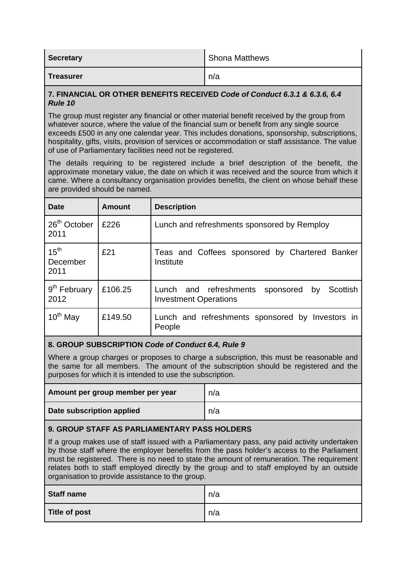| <b>Secretary</b> | Shona Matthews |
|------------------|----------------|
| <b>Treasurer</b> | n/a            |

#### **7. FINANCIAL OR OTHER BENEFITS RECEIVED** *Code of Conduct 6.3.1 & 6.3.6, 6.4 Rule 10*

The group must register any financial or other material benefit received by the group from whatever source, where the value of the financial sum or benefit from any single source exceeds £500 in any one calendar year. This includes donations, sponsorship, subscriptions, hospitality, gifts, visits, provision of services or accommodation or staff assistance. The value of use of Parliamentary facilities need not be registered.

The details requiring to be registered include a brief description of the benefit, the approximate monetary value, the date on which it was received and the source from which it came. Where a consultancy organisation provides benefits, the client on whose behalf these are provided should be named.

| <b>Date</b>                          | <b>Amount</b> | <b>Description</b>                                                                           |
|--------------------------------------|---------------|----------------------------------------------------------------------------------------------|
| 26 <sup>th</sup> October<br>2011     | £226          | Lunch and refreshments sponsored by Remploy                                                  |
| 15 <sup>th</sup><br>December<br>2011 | £21           | Teas and Coffees sponsored by Chartered Banker<br>Institute                                  |
| 9 <sup>th</sup> February<br>2012     | £106.25       | Lunch and refreshments<br><b>Scottish</b><br>sponsored<br>by<br><b>Investment Operations</b> |
| $10^{th}$ May                        | £149.50       | Lunch and refreshments sponsored by Investors in<br>People                                   |

## **8. GROUP SUBSCRIPTION** *Code of Conduct 6.4, Rule 9*

Where a group charges or proposes to charge a subscription, this must be reasonable and the same for all members. The amount of the subscription should be registered and the purposes for which it is intended to use the subscription.

| Amount per group member per year | n/a |
|----------------------------------|-----|
| Date subscription applied        | n/a |

# **9. GROUP STAFF AS PARLIAMENTARY PASS HOLDERS**

If a group makes use of staff issued with a Parliamentary pass, any paid activity undertaken by those staff where the employer benefits from the pass holder's access to the Parliament must be registered. There is no need to state the amount of remuneration. The requirement relates both to staff employed directly by the group and to staff employed by an outside organisation to provide assistance to the group.

| <b>Staff name</b>    | n/a |
|----------------------|-----|
| <b>Title of post</b> | n/a |